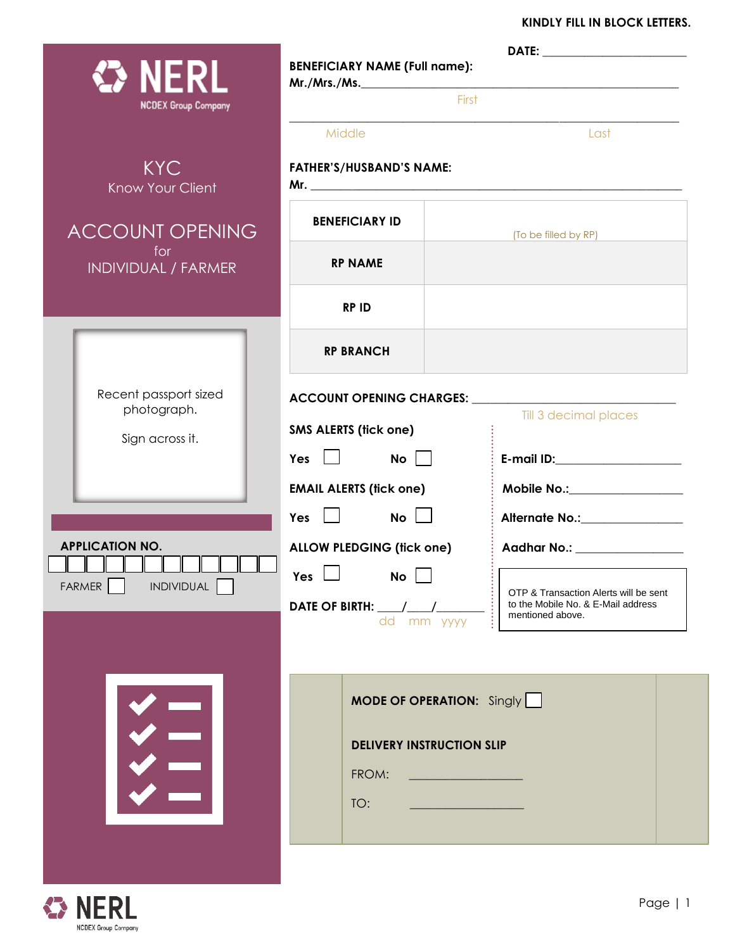### **KINDLY FILL IN BLOCK LETTERS.**

| <b>⇔ NERL</b><br><b>NCDEX Group Company</b>             | <b>BENEFICIARY NAME (Full name):</b><br>First                                        |                                                                                                 |  |
|---------------------------------------------------------|--------------------------------------------------------------------------------------|-------------------------------------------------------------------------------------------------|--|
|                                                         | Middle                                                                               | Last                                                                                            |  |
| <b>KYC</b><br><b>Know Your Client</b>                   | <b>FATHER'S/HUSBAND'S NAME:</b>                                                      |                                                                                                 |  |
| <b>ACCOUNT OPENING</b>                                  | <b>BENEFICIARY ID</b>                                                                | (To be filled by RP)                                                                            |  |
| for<br>INDIVIDUAL / FARMER                              | <b>RP NAME</b>                                                                       |                                                                                                 |  |
|                                                         | <b>RPID</b>                                                                          |                                                                                                 |  |
|                                                         | <b>RP BRANCH</b>                                                                     |                                                                                                 |  |
| Recent passport sized<br>photograph.<br>Sign across it. | <b>SMS ALERTS (tick one)</b>                                                         | Till 3 decimal places                                                                           |  |
|                                                         | <b>EMAIL ALERTS (fick one)</b>                                                       | E-mail ID:____________________<br>Mobile No.:_________________                                  |  |
|                                                         | Yes $\Box$<br>$\overline{\mathsf{No}}$ $\Box$                                        | Alternate No.: 1990                                                                             |  |
| <b>APPLICATION NO.</b><br>⊥⊥                            | <b>ALLOW PLEDGING (fick one)</b><br>$Yes$ $\Box$ $No$ $\Box$                         | $\vdots$ Aadhar No.: _______________                                                            |  |
| FARMER<br><b>INDIVIDUAL</b>                             | dd mm yyyy                                                                           | OTP & Transaction Alerts will be sent<br>to the Mobile No. & E-Mail address<br>mentioned above. |  |
|                                                         | <b>MODE OF OPERATION:</b> Singly<br><b>DELIVERY INSTRUCTION SLIP</b><br>FROM:<br>TO: |                                                                                                 |  |

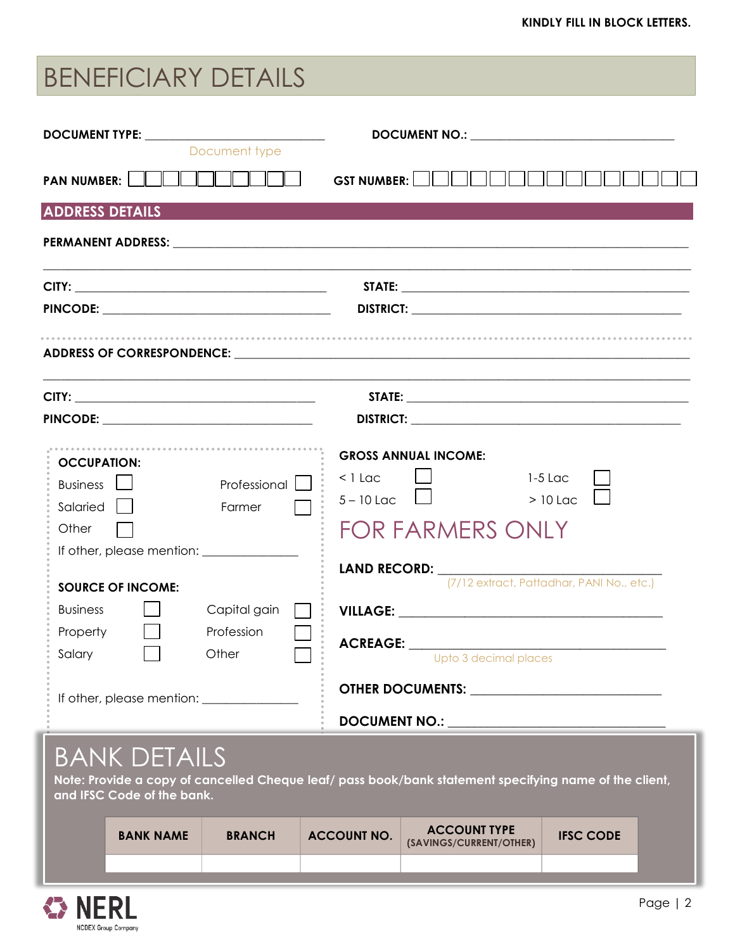# BENEFICIARY DETAILS

| DOCUMENT TYPE: ________________________________<br>Document type                    | DOCUMENT NO.: University of the contract of the contract of the contract of the contract of the contract of the contract of the contract of the contract of the contract of the contract of the contract of the contract of th                                                                                                                  |
|-------------------------------------------------------------------------------------|-------------------------------------------------------------------------------------------------------------------------------------------------------------------------------------------------------------------------------------------------------------------------------------------------------------------------------------------------|
|                                                                                     |                                                                                                                                                                                                                                                                                                                                                 |
| <b>ADDRESS DETAILS</b>                                                              |                                                                                                                                                                                                                                                                                                                                                 |
|                                                                                     |                                                                                                                                                                                                                                                                                                                                                 |
|                                                                                     |                                                                                                                                                                                                                                                                                                                                                 |
|                                                                                     |                                                                                                                                                                                                                                                                                                                                                 |
|                                                                                     | ADDRESS OF CORRESPONDENCE: University of the contract of the contract of the contract of the contract of the contract of the contract of the contract of the contract of the contract of the contract of the contract of the c                                                                                                                  |
|                                                                                     |                                                                                                                                                                                                                                                                                                                                                 |
|                                                                                     |                                                                                                                                                                                                                                                                                                                                                 |
| <b>OCCUPATION:</b><br>Business L<br>Professional<br>Farmer<br>Salaried    <br>Other | <b>GROSS ANNUAL INCOME:</b><br>$<$ 1 Lac<br>$1-5$ Lac<br>$>10$ Lac<br>$5 - 10$ Lac<br><b>FOR FARMERS ONLY</b><br>LAND RECORD: The contract of the contract of the contract of the contract of the contract of the contract of the contract of the contract of the contract of the contract of the contract of the contract of the contract of t |
| <b>SOURCE OF INCOME:</b>                                                            | (7/12 extract, Pattadhar, PANI No., etc.)                                                                                                                                                                                                                                                                                                       |
| Capital gain<br><b>Business</b>                                                     |                                                                                                                                                                                                                                                                                                                                                 |
| Property<br>Profession<br>Salary<br>Other                                           | Upto 3 decimal places                                                                                                                                                                                                                                                                                                                           |
| If other, please mention: <u>_______________</u>                                    | OTHER DOCUMENTS: <b><u>___________________________</u>_____</b>                                                                                                                                                                                                                                                                                 |
|                                                                                     |                                                                                                                                                                                                                                                                                                                                                 |

# BANK DETAILS

**Note: Provide a copy of cancelled Cheque leaf/ pass book/bank statement specifying name of the client, and IFSC Code of the bank.**

|  | <b>BANK NAME</b> | <b>BRANCH</b> | <b>ACCOUNT NO.</b> | <b>ACCOUNT TYPE</b><br>(SAVINGS/CURRENT/OTHER) | <b>IFSC CODE</b> |
|--|------------------|---------------|--------------------|------------------------------------------------|------------------|
|  |                  |               |                    |                                                |                  |

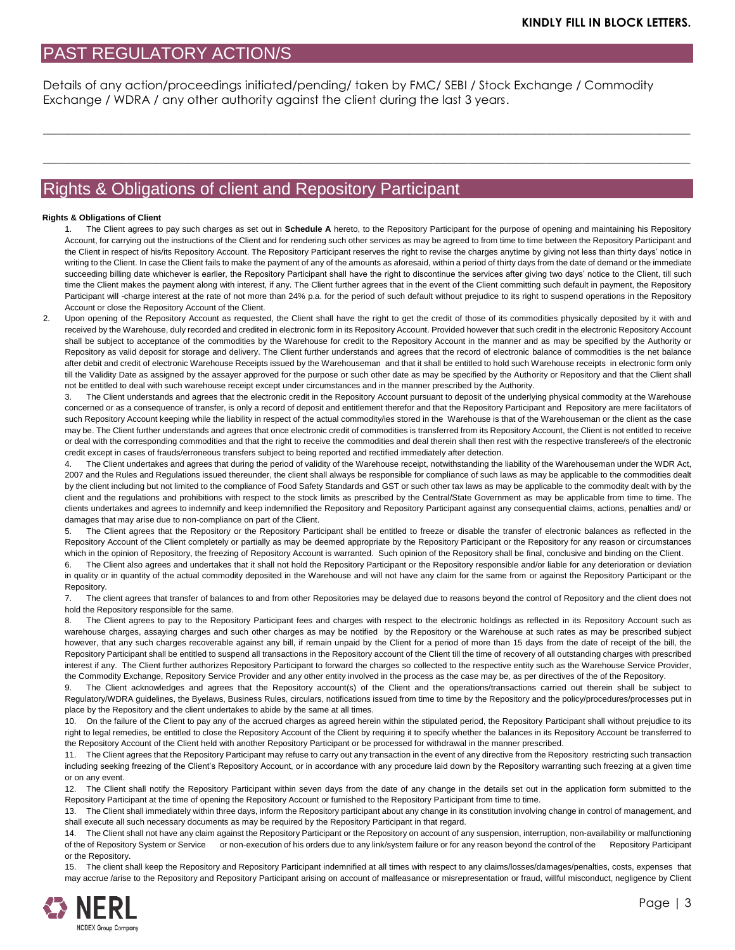## PAST REGULATORY ACTION/S

Details of any action/proceedings initiated/pending/ taken by FMC/ SEBI / Stock Exchange / Commodity Exchange / WDRA / any other authority against the client during the last 3 years.

 $\_$  ,  $\_$  ,  $\_$  ,  $\_$  ,  $\_$  ,  $\_$  ,  $\_$  ,  $\_$  ,  $\_$  ,  $\_$  ,  $\_$  ,  $\_$  ,  $\_$  ,  $\_$  ,  $\_$  ,  $\_$  ,  $\_$  ,  $\_$  ,  $\_$  ,  $\_$  ,  $\_$  ,  $\_$  ,  $\_$  ,  $\_$  ,  $\_$  ,  $\_$  ,  $\_$  ,  $\_$  ,  $\_$  ,  $\_$  ,  $\_$  ,  $\_$  ,  $\_$  ,  $\_$  ,  $\_$  ,  $\_$  ,  $\_$  ,

 $\_$  ,  $\_$  ,  $\_$  ,  $\_$  ,  $\_$  ,  $\_$  ,  $\_$  ,  $\_$  ,  $\_$  ,  $\_$  ,  $\_$  ,  $\_$  ,  $\_$  ,  $\_$  ,  $\_$  ,  $\_$  ,  $\_$  ,  $\_$  ,  $\_$  ,  $\_$  ,  $\_$  ,  $\_$  ,  $\_$  ,  $\_$  ,  $\_$  ,  $\_$  ,  $\_$  ,  $\_$  ,  $\_$  ,  $\_$  ,  $\_$  ,  $\_$  ,  $\_$  ,  $\_$  ,  $\_$  ,  $\_$  ,  $\_$  ,

## Rights & Obligations of client and Repository Participant

#### **Rights & Obligations of Client**

1. The Client agrees to pay such charges as set out in **Schedule A** hereto, to the Repository Participant for the purpose of opening and maintaining his Repository Account, for carrying out the instructions of the Client and for rendering such other services as may be agreed to from time to time between the Repository Participant and the Client in respect of his/its Repository Account. The Repository Participant reserves the right to revise the charges anytime by giving not less than thirty days' notice in writing to the Client. In case the Client fails to make the payment of any of the amounts as aforesaid, within a period of thirty days from the date of demand or the immediate succeeding billing date whichever is earlier, the Repository Participant shall have the right to discontinue the services after giving two days' notice to the Client, till such time the Client makes the payment along with interest, if any. The Client further agrees that in the event of the Client committing such default in payment, the Repository Participant will -charge interest at the rate of not more than 24% p.a. for the period of such default without prejudice to its right to suspend operations in the Repository Account or close the Repository Account of the Client.

2. Upon opening of the Repository Account as requested, the Client shall have the right to get the credit of those of its commodities physically deposited by it with and received by the Warehouse, duly recorded and credited in electronic form in its Repository Account. Provided however that such credit in the electronic Repository Account shall be subject to acceptance of the commodities by the Warehouse for credit to the Repository Account in the manner and as may be specified by the Authority or Repository as valid deposit for storage and delivery. The Client further understands and agrees that the record of electronic balance of commodities is the net balance after debit and credit of electronic Warehouse Receipts issued by the Warehouseman and that it shall be entitled to hold such Warehouse receipts in electronic form only till the Validity Date as assigned by the assayer approved for the purpose or such other date as may be specified by the Authority or Repository and that the Client shall not be entitled to deal with such warehouse receipt except under circumstances and in the manner prescribed by the Authority.

3. The Client understands and agrees that the electronic credit in the Repository Account pursuant to deposit of the underlying physical commodity at the Warehouse concerned or as a consequence of transfer, is only a record of deposit and entitlement therefor and that the Repository Participant and Repository are mere facilitators of such Repository Account keeping while the liability in respect of the actual commodity/ies stored in the Warehouse is that of the Warehouseman or the client as the case may be. The Client further understands and agrees that once electronic credit of commodities is transferred from its Repository Account, the Client is not entitled to receive or deal with the corresponding commodities and that the right to receive the commodities and deal therein shall then rest with the respective transferee/s of the electronic credit except in cases of frauds/erroneous transfers subject to being reported and rectified immediately after detection.

4. The Client undertakes and agrees that during the period of validity of the Warehouse receipt, notwithstanding the liability of the Warehouseman under the WDR Act, 2007 and the Rules and Regulations issued thereunder, the client shall always be responsible for compliance of such laws as may be applicable to the commodities dealt by the client including but not limited to the compliance of Food Safety Standards and GST or such other tax laws as may be applicable to the commodity dealt with by the client and the regulations and prohibitions with respect to the stock limits as prescribed by the Central/State Government as may be applicable from time to time. The clients undertakes and agrees to indemnify and keep indemnified the Repository and Repository Participant against any consequential claims, actions, penalties and/ or damages that may arise due to non-compliance on part of the Client.

The Client agrees that the Repository or the Repository Participant shall be entitled to freeze or disable the transfer of electronic balances as reflected in the Repository Account of the Client completely or partially as may be deemed appropriate by the Repository Participant or the Repository for any reason or circumstances which in the opinion of Repository, the freezing of Repository Account is warranted. Such opinion of the Repository shall be final, conclusive and binding on the Client.

6. The Client also agrees and undertakes that it shall not hold the Repository Participant or the Repository responsible and/or liable for any deterioration or deviation in quality or in quantity of the actual commodity deposited in the Warehouse and will not have any claim for the same from or against the Repository Participant or the Repository.

7. The client agrees that transfer of balances to and from other Repositories may be delayed due to reasons beyond the control of Repository and the client does not hold the Repository responsible for the same.

8. The Client agrees to pay to the Repository Participant fees and charges with respect to the electronic holdings as reflected in its Repository Account such as warehouse charges, assaying charges and such other charges as may be notified by the Repository or the Warehouse at such rates as may be prescribed subject however, that any such charges recoverable against any bill, if remain unpaid by the Client for a period of more than 15 days from the date of receipt of the bill, the Repository Participant shall be entitled to suspend all transactions in the Repository account of the Client till the time of recovery of all outstanding charges with prescribed interest if any. The Client further authorizes Repository Participant to forward the charges so collected to the respective entity such as the Warehouse Service Provider, the Commodity Exchange, Repository Service Provider and any other entity involved in the process as the case may be, as per directives of the of the Repository.

9. The Client acknowledges and agrees that the Repository account(s) of the Client and the operations/transactions carried out therein shall be subject to Regulatory/WDRA guidelines, the Byelaws, Business Rules, circulars, notifications issued from time to time by the Repository and the policy/procedures/processes put in place by the Repository and the client undertakes to abide by the same at all times.

10. On the failure of the Client to pay any of the accrued charges as agreed herein within the stipulated period, the Repository Participant shall without prejudice to its right to legal remedies, be entitled to close the Repository Account of the Client by requiring it to specify whether the balances in its Repository Account be transferred to the Repository Account of the Client held with another Repository Participant or be processed for withdrawal in the manner prescribed.

11. The Client agrees that the Repository Participant may refuse to carry out any transaction in the event of any directive from the Repository restricting such transaction including seeking freezing of the Client's Repository Account, or in accordance with any procedure laid down by the Repository warranting such freezing at a given time or on any event.

12. The Client shall notify the Repository Participant within seven days from the date of any change in the details set out in the application form submitted to the Repository Participant at the time of opening the Repository Account or furnished to the Repository Participant from time to time.

13. The Client shall immediately within three days, inform the Repository participant about any change in its constitution involving change in control of management, and shall execute all such necessary documents as may be required by the Repository Participant in that regard.

14. The Client shall not have any claim against the Repository Participant or the Repository on account of any suspension, interruption, non-availability or malfunctioning of the of Repository System or Service or non-execution of his orders due to any link/system failure or for any reason beyond the control of the Repository Participant or the Repository.

15. The client shall keep the Repository and Repository Participant indemnified at all times with respect to any claims/losses/damages/penalties, costs, expenses that may accrue /arise to the Repository and Repository Participant arising on account of malfeasance or misrepresentation or fraud, willful misconduct, negligence by Client

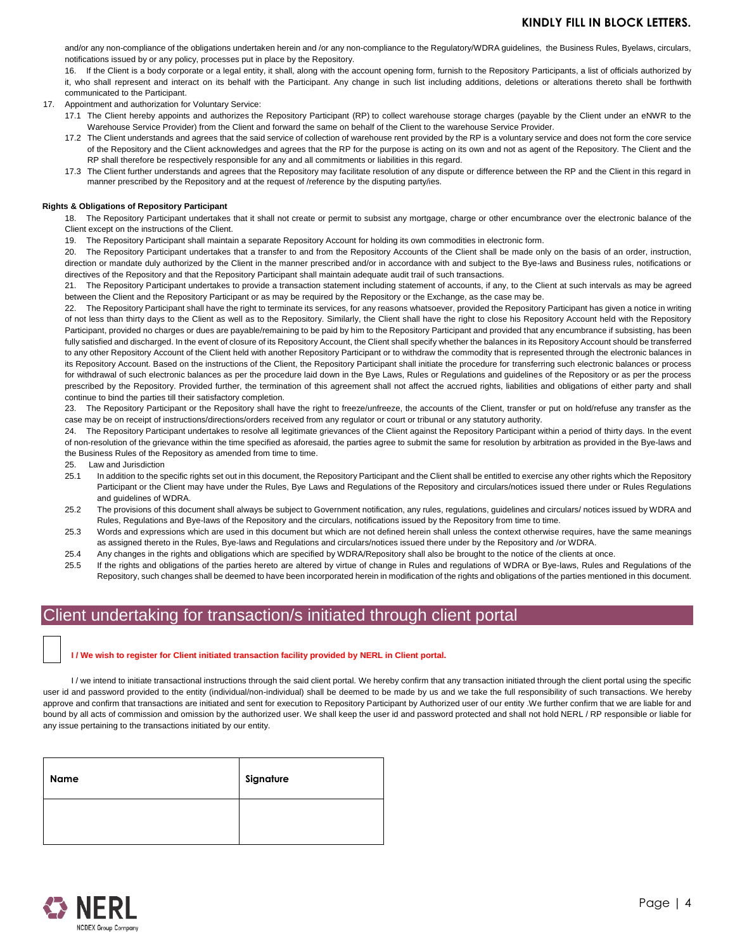and/or any non-compliance of the obligations undertaken herein and /or any non-compliance to the Regulatory/WDRA guidelines, the Business Rules, Byelaws, circulars, notifications issued by or any policy, processes put in place by the Repository.

16. If the Client is a body corporate or a legal entity, it shall, along with the account opening form, furnish to the Repository Participants, a list of officials authorized by it, who shall represent and interact on its behalf with the Participant. Any change in such list including additions, deletions or alterations thereto shall be forthwith communicated to the Participant.

17. Appointment and authorization for Voluntary Service:

- 17.1 The Client hereby appoints and authorizes the Repository Participant (RP) to collect warehouse storage charges (payable by the Client under an eNWR to the Warehouse Service Provider) from the Client and forward the same on behalf of the Client to the warehouse Service Provider.
- 17.2 The Client understands and agrees that the said service of collection of warehouse rent provided by the RP is a voluntary service and does not form the core service of the Repository and the Client acknowledges and agrees that the RP for the purpose is acting on its own and not as agent of the Repository. The Client and the RP shall therefore be respectively responsible for any and all commitments or liabilities in this regard.
- 17.3 The Client further understands and agrees that the Repository may facilitate resolution of any dispute or difference between the RP and the Client in this regard in manner prescribed by the Repository and at the request of /reference by the disputing party/ies.

#### **Rights & Obligations of Repository Participant**

18. The Repository Participant undertakes that it shall not create or permit to subsist any mortgage, charge or other encumbrance over the electronic balance of the Client except on the instructions of the Client.

19. The Repository Participant shall maintain a separate Repository Account for holding its own commodities in electronic form.

20. The Repository Participant undertakes that a transfer to and from the Repository Accounts of the Client shall be made only on the basis of an order, instruction, direction or mandate duly authorized by the Client in the manner prescribed and/or in accordance with and subject to the Bye-laws and Business rules, notifications or directives of the Repository and that the Repository Participant shall maintain adequate audit trail of such transactions.

21. The Repository Participant undertakes to provide a transaction statement including statement of accounts, if any, to the Client at such intervals as may be agreed between the Client and the Repository Participant or as may be required by the Repository or the Exchange, as the case may be.

22. The Repository Participant shall have the right to terminate its services, for any reasons whatsoever, provided the Repository Participant has given a notice in writing of not less than thirty days to the Client as well as to the Repository. Similarly, the Client shall have the right to close his Repository Account held with the Repository Participant, provided no charges or dues are payable/remaining to be paid by him to the Repository Participant and provided that any encumbrance if subsisting, has been fully satisfied and discharged. In the event of closure of its Repository Account, the Client shall specify whether the balances in its Repository Account should be transferred to any other Repository Account of the Client held with another Repository Participant or to withdraw the commodity that is represented through the electronic balances in its Repository Account. Based on the instructions of the Client, the Repository Participant shall initiate the procedure for transferring such electronic balances or process for withdrawal of such electronic balances as per the procedure laid down in the Bye Laws, Rules or Regulations and guidelines of the Repository or as per the process prescribed by the Repository. Provided further, the termination of this agreement shall not affect the accrued rights, liabilities and obligations of either party and shall continue to bind the parties till their satisfactory completion.

23. The Repository Participant or the Repository shall have the right to freeze/unfreeze, the accounts of the Client, transfer or put on hold/refuse any transfer as the case may be on receipt of instructions/directions/orders received from any regulator or court or tribunal or any statutory authority.

24. The Repository Participant undertakes to resolve all legitimate grievances of the Client against the Repository Participant within a period of thirty days. In the event of non-resolution of the grievance within the time specified as aforesaid, the parties agree to submit the same for resolution by arbitration as provided in the Bye-laws and the Business Rules of the Repository as amended from time to time.

25. Law and Jurisdiction

- 25.1 In addition to the specific rights set out in this document, the Repository Participant and the Client shall be entitled to exercise any other rights which the Repository Participant or the Client may have under the Rules, Bye Laws and Regulations of the Repository and circulars/notices issued there under or Rules Regulations and guidelines of WDRA.
- 25.2 The provisions of this document shall always be subject to Government notification, any rules, regulations, guidelines and circulars/ notices issued by WDRA and Rules, Regulations and Bye-laws of the Repository and the circulars, notifications issued by the Repository from time to time.
- 25.3 Words and expressions which are used in this document but which are not defined herein shall unless the context otherwise requires, have the same meanings as assigned thereto in the Rules, Bye-laws and Regulations and circulars/notices issued there under by the Repository and /or WDRA.
- 25.4 Any changes in the rights and obligations which are specified by WDRA/Repository shall also be brought to the notice of the clients at once.
- 25.5 If the rights and obligations of the parties hereto are altered by virtue of change in Rules and regulations of WDRA or Bye-laws, Rules and Regulations of the Repository, such changes shall be deemed to have been incorporated herein in modification of the rights and obligations of the parties mentioned in this document.

# Client undertaking for transaction/s initiated through client portal

#### **I / We wish to register for Client initiated transaction facility provided by NERL in Client portal.**

I/we intend to initiate transactional instructions through the said client portal. We hereby confirm that any transaction initiated through the client portal using the specific user id and password provided to the entity (individual/non-individual) shall be deemed to be made by us and we take the full responsibility of such transactions. We hereby approve and confirm that transactions are initiated and sent for execution to Repository Participant by Authorized user of our entity .We further confirm that we are liable for and bound by all acts of commission and omission by the authorized user. We shall keep the user id and password protected and shall not hold NERL / RP responsible or liable for any issue pertaining to the transactions initiated by our entity.

| Name | Signature |
|------|-----------|
|      |           |

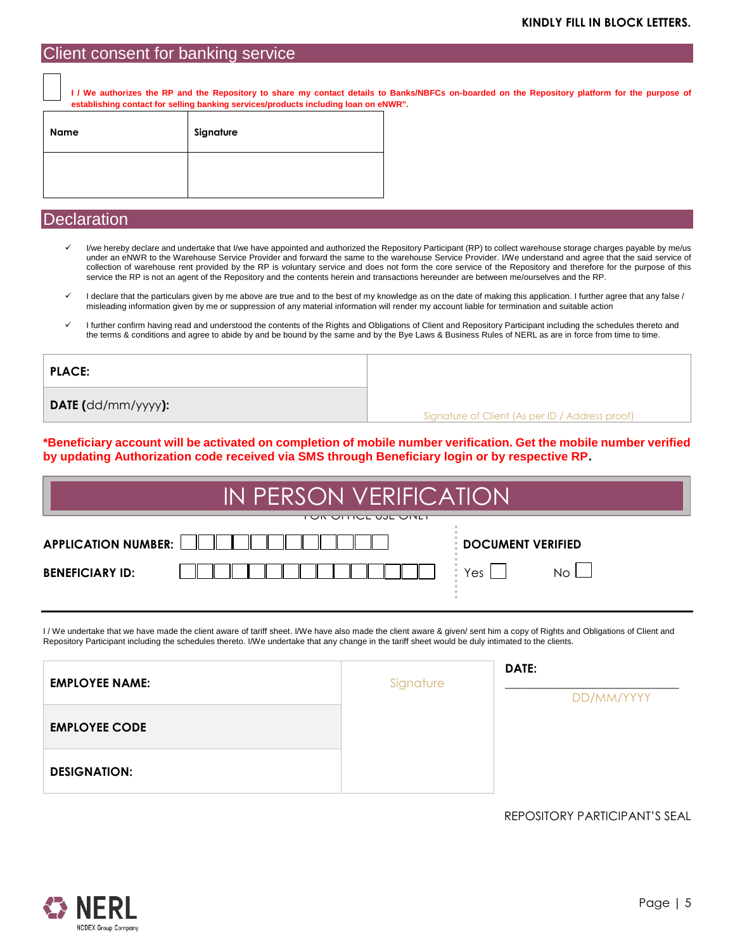### Client consent for banking service

**I / We authorizes the RP and the Repository to share my contact details to Banks/NBFCs on-boarded on the Repository platform for the purpose of establishing contact for selling banking services/products including loan on eNWR".**

| Name | Signature |
|------|-----------|
|      |           |

## **Declaration**

- I/we hereby declare and undertake that I/we have appointed and authorized the Repository Participant (RP) to collect warehouse storage charges payable by me/us under an eNWR to the Warehouse Service Provider and forward the same to the warehouse Service Provider. I/We understand and agree that the said service of collection of warehouse rent provided by the RP is voluntary service and does not form the core service of the Repository and therefore for the purpose of this service the RP is not an agent of the Repository and the contents herein and transactions hereunder are between me/ourselves and the RP.
- I declare that the particulars given by me above are true and to the best of my knowledge as on the date of making this application. I further agree that any false / misleading information given by me or suppression of any material information will render my account liable for termination and suitable action
- I further confirm having read and understood the contents of the Rights and Obligations of Client and Repository Participant including the schedules thereto and the terms & conditions and agree to abide by and be bound by the same and by the Bye Laws & Business Rules of NERL as are in force from time to time.

| <b>PLACE:</b>             |                                                 |
|---------------------------|-------------------------------------------------|
| <b>DATE</b> (dd/mm/yyyy): | Signature of Client (As per ID / Address proof) |

**\*Beneficiary account will be activated on completion of mobile number verification. Get the mobile number verified by updating Authorization code received via SMS through Beneficiary login or by respective RP.**

| IN PERSON VERIFICATION                                                                   |  |               |  |
|------------------------------------------------------------------------------------------|--|---------------|--|
| <u>דטול טודוטב טאבד טוזיבו</u><br><b>APPLICATION NUMBER:</b><br><b>DOCUMENT VERIFIED</b> |  |               |  |
| <b>BENEFICIARY ID:</b>                                                                   |  | Yes I<br>No L |  |
|                                                                                          |  |               |  |

I/We undertake that we have made the client aware of tariff sheet. I/We have also made the client aware & given/ sent him a copy of Rights and Obligations of Client and Repository Participant including the schedules thereto. I/We undertake that any change in the tariff sheet would be duly intimated to the clients.

| <b>EMPLOYEE NAME:</b> | Signature | DATE:      |
|-----------------------|-----------|------------|
|                       |           | DD/MM/YYYY |
| <b>EMPLOYEE CODE</b>  |           |            |
| <b>DESIGNATION:</b>   |           |            |

REPOSITORY PARTICIPANT'S SEAL